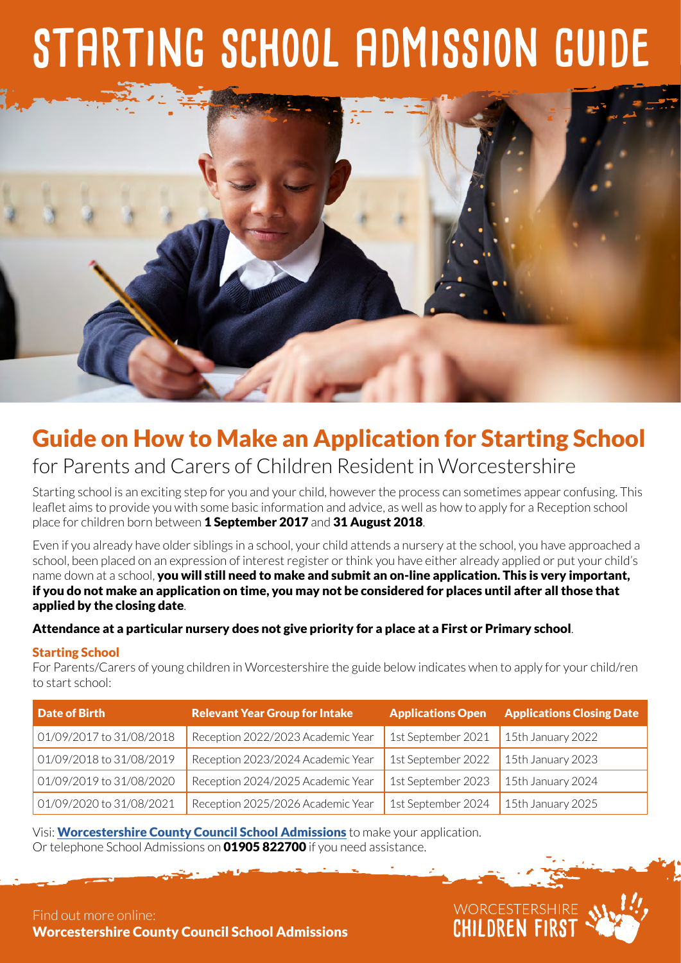# **starting school admission guide**



## Guide on How to Make an Application for Starting School

## for Parents and Carers of Children Resident in Worcestershire

Starting school is an exciting step for you and your child, however the process can sometimes appear confusing. This leaflet aims to provide you with some basic information and advice, as well as how to apply for a Reception school place for children born between 1 September 2017 and 31 August 2018.

Even if you already have older siblings in a school, your child attends a nursery at the school, you have approached a school, been placed on an expression of interest register or think you have either already applied or put your child's name down at a school, you will still need to make and submit an on-line application. This is very important, if you do not make an application on time, you may not be considered for places until after all those that applied by the closing date.

#### Attendance at a particular nursery does not give priority for a place at a First or Primary school.

#### Starting School

For Parents/Carers of young children in Worcestershire the guide below indicates when to apply for your child/ren to start school:

| <b>Date of Birth</b>     | <b>Relevant Year Group for Intake</b> | <b>Applications Open</b> | <b>Applications Closing Date</b> |
|--------------------------|---------------------------------------|--------------------------|----------------------------------|
| 01/09/2017 to 31/08/2018 | Reception 2022/2023 Academic Year     | 1st September 2021       | $15th$ January 2022              |
| 01/09/2018 to 31/08/2019 | Reception 2023/2024 Academic Year     | 1st September 2022       | $15th$ January 2023              |
| 01/09/2019 to 31/08/2020 | Reception 2024/2025 Academic Year     | 1st September 2023       | 15th January 2024                |
| 01/09/2020 to 31/08/2021 | Reception 2025/2026 Academic Year     | 1st September 2024       | 15th January 2025                |

WORCESTERSHIRE<br>CHILDREN FIRST

Visi: [Worcestershire County Council School Admissions](http://www.worcestershire.gov.uk/schooladmissions) to make your application. Or telephone School Admissions on **01905 822700** if you need assistance.

Find out more online: [Worcestershire County Council School Admissions](http://www.worcestershire.gov.uk/schooladmissions)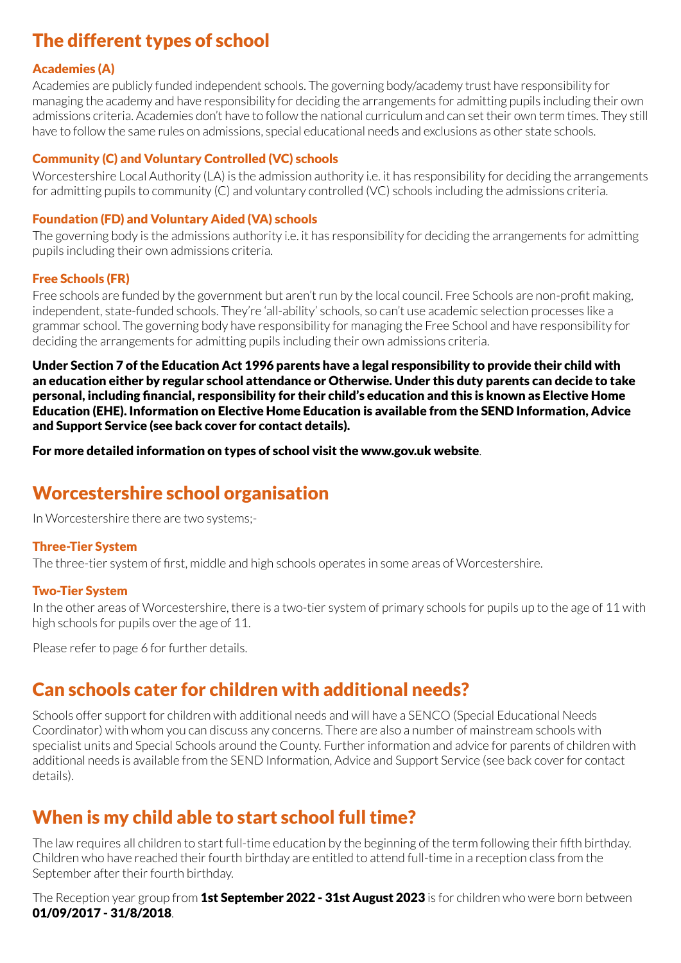## The different types of school

#### Academies (A)

Academies are publicly funded independent schools. The governing body/academy trust have responsibility for managing the academy and have responsibility for deciding the arrangements for admitting pupils including their own admissions criteria. Academies don't have to follow the national curriculum and can set their own term times. They still have to follow the same rules on admissions, special educational needs and exclusions as other state schools.

#### Community (C) and Voluntary Controlled (VC) schools

Worcestershire Local Authority (LA) is the admission authority i.e. it has responsibility for deciding the arrangements for admitting pupils to community (C) and voluntary controlled (VC) schools including the admissions criteria.

#### Foundation (FD) and Voluntary Aided (VA) schools

The governing body is the admissions authority i.e. it has responsibility for deciding the arrangements for admitting pupils including their own admissions criteria.

#### Free Schools (FR)

Free schools are funded by the government but aren't run by the local council. Free Schools are non-profit making, independent, state-funded schools. They're 'all-ability' schools, so can't use academic selection processes like a grammar school. The governing body have responsibility for managing the Free School and have responsibility for deciding the arrangements for admitting pupils including their own admissions criteria.

Under Section 7 of the Education Act 1996 parents have a legal responsibility to provide their child with an education either by regular school attendance or Otherwise. Under this duty parents can decide to take personal, including financial, responsibility for their child's education and this is known as Elective Home Education (EHE). Information on Elective Home Education is available from the SEND Information, Advice and Support Service (see back cover for contact details).

For more detailed information on types of school visit the www.gov.uk website.

## Worcestershire school organisation

In Worcestershire there are two systems;-

#### Three-Tier System

The three-tier system of first, middle and high schools operates in some areas of Worcestershire.

#### Two-Tier System

In the other areas of Worcestershire, there is a two-tier system of primary schools for pupils up to the age of 11 with high schools for pupils over the age of 11.

Please refer to page 6 for further details.

## Can schools cater for children with additional needs?

Schools offer support for children with additional needs and will have a SENCO (Special Educational Needs Coordinator) with whom you can discuss any concerns. There are also a number of mainstream schools with specialist units and Special Schools around the County. Further information and advice for parents of children with additional needs is available from the SEND Information, Advice and Support Service (see back cover for contact details).

## When is my child able to start school full time?

The law requires all children to start full-time education by the beginning of the term following their fifth birthday. Children who have reached their fourth birthday are entitled to attend full-time in a reception class from the September after their fourth birthday.

The Reception year group from **1st September 2022 - 31st August 2023** is for children who were born between 01/09/2017 - 31/8/2018.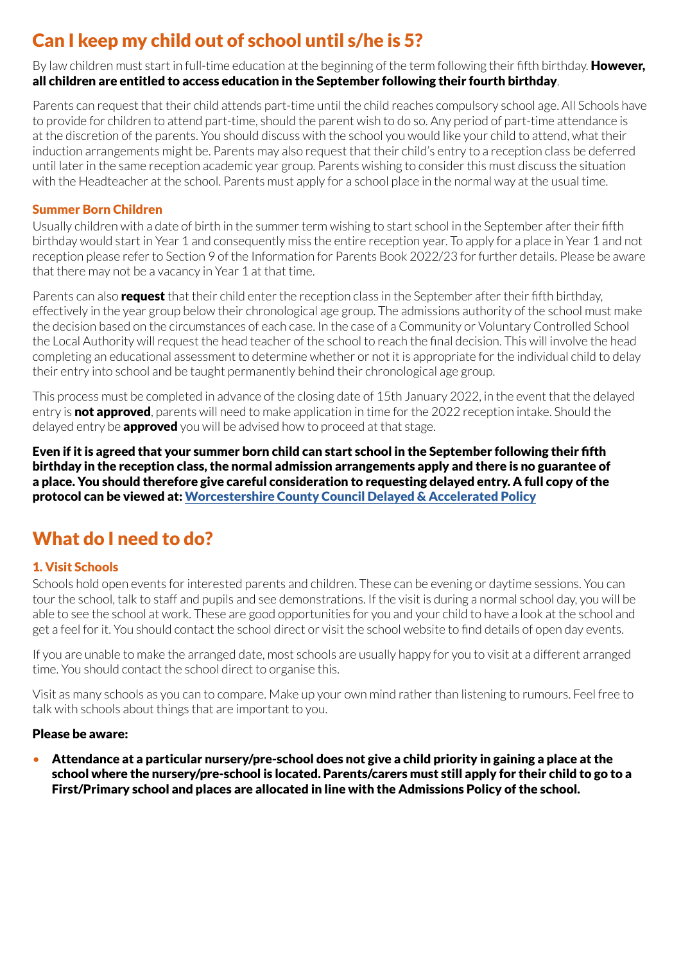## Can I keep my child out of school until s/he is 5?

By law children must start in full-time education at the beginning of the term following their fifth birthday. However, all children are entitled to access education in the September following their fourth birthday.

Parents can request that their child attends part-time until the child reaches compulsory school age. All Schools have to provide for children to attend part-time, should the parent wish to do so. Any period of part-time attendance is at the discretion of the parents. You should discuss with the school you would like your child to attend, what their induction arrangements might be. Parents may also request that their child's entry to a reception class be deferred until later in the same reception academic year group. Parents wishing to consider this must discuss the situation with the Headteacher at the school. Parents must apply for a school place in the normal way at the usual time.

#### Summer Born Children

Usually children with a date of birth in the summer term wishing to start school in the September after their fifth birthday would start in Year 1 and consequently miss the entire reception year. To apply for a place in Year 1 and not reception please refer to Section 9 of the Information for Parents Book 2022/23 for further details. Please be aware that there may not be a vacancy in Year 1 at that time.

Parents can also **request** that their child enter the reception class in the September after their fifth birthday, effectively in the year group below their chronological age group. The admissions authority of the school must make the decision based on the circumstances of each case. In the case of a Community or Voluntary Controlled School the Local Authority will request the head teacher of the school to reach the final decision. This will involve the head completing an educational assessment to determine whether or not it is appropriate for the individual child to delay their entry into school and be taught permanently behind their chronological age group.

This process must be completed in advance of the closing date of 15th January 2022, in the event that the delayed entry is not approved, parents will need to make application in time for the 2022 reception intake. Should the delayed entry be **approved** you will be advised how to proceed at that stage.

Even if it is agreed that your summer born child can start school in the September following their fifth birthday in the reception class, the normal admission arrangements apply and there is no guarantee of a place. You should therefore give careful consideration to requesting delayed entry. A full copy of the protocol can be viewed at: [Worcestershire County Council Delayed & Accelerated Policy](http://www.worcestershire.gov.uk/downloads/file/5465/policy_on_delayed_and_accelerated_transfer)

## What do I need to do?

#### 1. Visit Schools

Schools hold open events for interested parents and children. These can be evening or daytime sessions. You can tour the school, talk to staff and pupils and see demonstrations. If the visit is during a normal school day, you will be able to see the school at work. These are good opportunities for you and your child to have a look at the school and get a feel for it. You should contact the school direct or visit the school website to find details of open day events.

If you are unable to make the arranged date, most schools are usually happy for you to visit at a different arranged time. You should contact the school direct to organise this.

Visit as many schools as you can to compare. Make up your own mind rather than listening to rumours. Feel free to talk with schools about things that are important to you.

#### Please be aware:

• Attendance at a particular nursery/pre-school does not give a child priority in gaining a place at the school where the nursery/pre-school is located. Parents/carers must still apply for their child to go to a First/Primary school and places are allocated in line with the Admissions Policy of the school.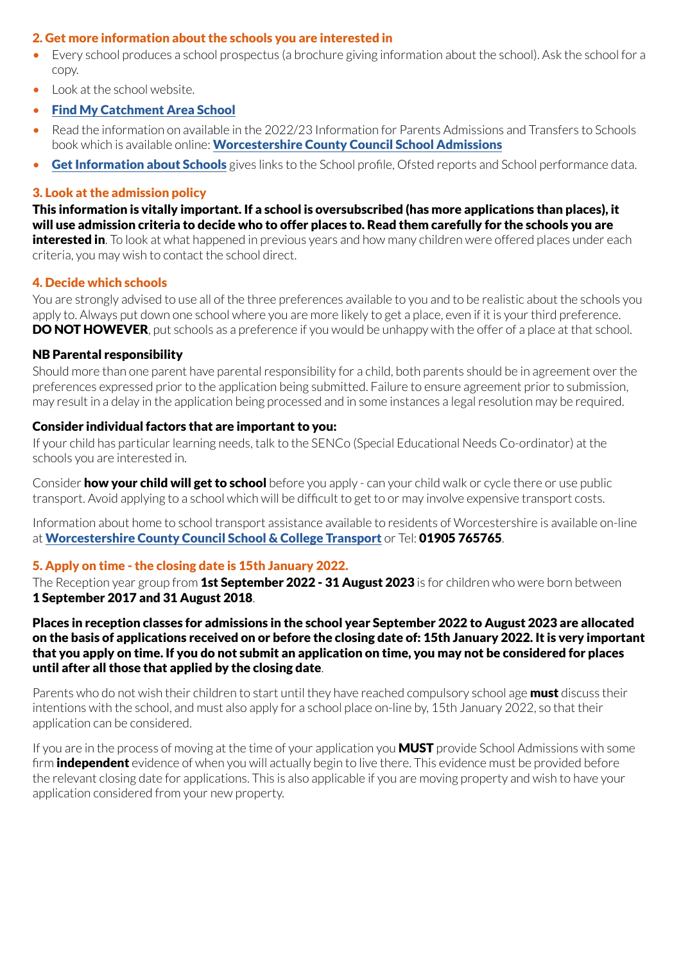#### 2. Get more information about the schools you are interested in

- Every school produces a school prospectus (a brochure giving information about the school). Ask the school for a copy.
- Look at the school website.
- [Find My Catchment Area School](https://capublic.worcestershire.gov.uk/SchoolSearchPublic/?_ga=2.80738206.843052486.1626887860-1191537832.1612861233)
- Read the information on available in the 2022/23 Information for Parents Admissions and Transfers to Schools book which is available online: [Worcestershire County Council School Admissions](http://www.worcestershire.gov.uk/schooladmissions)
- [Get Information about Schools](https://www.get-information-schools.service.gov.uk/) gives links to the School profile, Ofsted reports and School performance data.

#### 3. Look at the admission policy

This information is vitally important. If a school is oversubscribed (has more applications than places), it will use admission criteria to decide who to offer places to. Read them carefully for the schools you are interested in. To look at what happened in previous years and how many children were offered places under each criteria, you may wish to contact the school direct.

#### 4. Decide which schools

You are strongly advised to use all of the three preferences available to you and to be realistic about the schools you apply to. Always put down one school where you are more likely to get a place, even if it is your third preference. **DO NOT HOWEVER**, put schools as a preference if you would be unhappy with the offer of a place at that school.

#### NB Parental responsibility

Should more than one parent have parental responsibility for a child, both parents should be in agreement over the preferences expressed prior to the application being submitted. Failure to ensure agreement prior to submission, may result in a delay in the application being processed and in some instances a legal resolution may be required.

#### Consider individual factors that are important to you:

If your child has particular learning needs, talk to the SENCo (Special Educational Needs Co-ordinator) at the schools you are interested in.

Consider **how your child will get to school** before you apply - can your child walk or cycle there or use public transport. Avoid applying to a school which will be difficult to get to or may involve expensive transport costs.

Information about home to school transport assistance available to residents of Worcestershire is available on-line at [Worcestershire County Council School & College Transport](http://www.worcestershire.gov.uk/homepage/18/school_and_college_transport) or Tel: 01905 765765.

#### 5. Apply on time - the closing date is 15th January 2022.

The Reception year group from 1st September 2022 - 31 August 2023 is for children who were born between 1 September 2017 and 31 August 2018.

Places in reception classes for admissions in the school year September 2022 to August 2023 are allocated on the basis of applications received on or before the closing date of: 15th January 2022. It is very important that you apply on time. If you do not submit an application on time, you may not be considered for places until after all those that applied by the closing date.

Parents who do not wish their children to start until they have reached compulsory school age **must** discuss their intentions with the school, and must also apply for a school place on-line by, 15th January 2022, so that their application can be considered.

If you are in the process of moving at the time of your application you **MUST** provide School Admissions with some firm **independent** evidence of when you will actually begin to live there. This evidence must be provided before the relevant closing date for applications. This is also applicable if you are moving property and wish to have your application considered from your new property.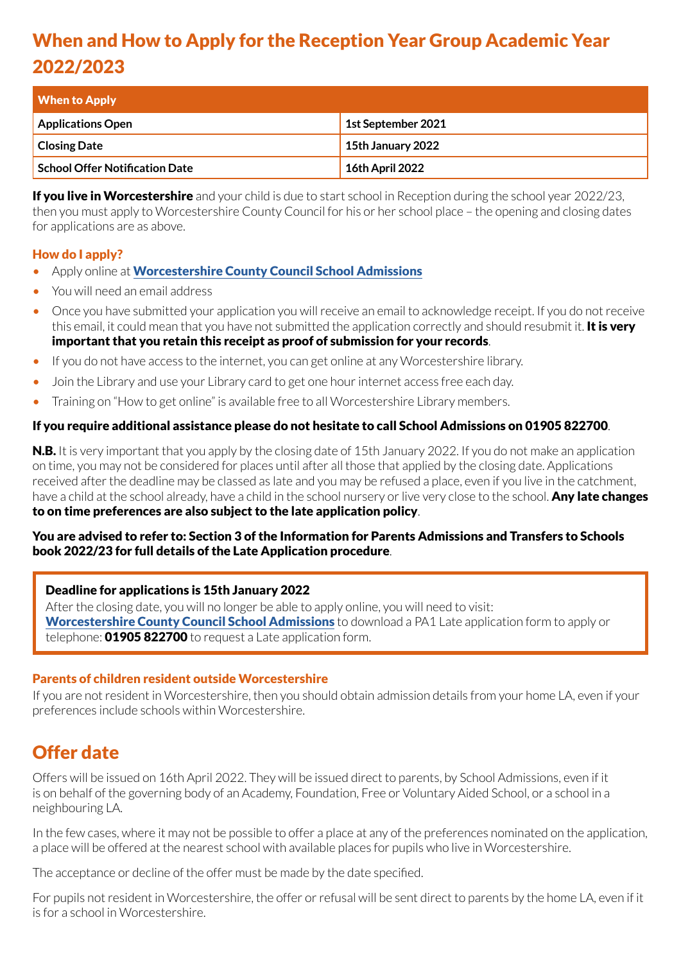## When and How to Apply for the Reception Year Group Academic Year 2022/2023

| <b>When to Apply</b>           |                        |
|--------------------------------|------------------------|
| Applications Open              | 1st September 2021     |
| <b>Closing Date</b>            | 15th January 2022      |
| School Offer Notification Date | <b>16th April 2022</b> |

If you live in Worcestershire and your child is due to start school in Reception during the school year 2022/23, then you must apply to Worcestershire County Council for his or her school place – the opening and closing dates for applications are as above.

#### How do I apply?

- Apply online at [Worcestershire County Council School Admissions](http://www.worcestershire.gov.uk/schooladmissions)
- You will need an email address
- Once you have submitted your application you will receive an email to acknowledge receipt. If you do not receive this email, it could mean that you have not submitted the application correctly and should resubmit it. **It is very** important that you retain this receipt as proof of submission for your records.
- If you do not have access to the internet, you can get online at any Worcestershire library.
- Join the Library and use your Library card to get one hour internet access free each day.
- Training on "How to get online" is available free to all Worcestershire Library members.

#### If you require additional assistance please do not hesitate to call School Admissions on 01905 822700.

**N.B.** It is very important that you apply by the closing date of 15th January 2022. If you do not make an application on time, you may not be considered for places until after all those that applied by the closing date. Applications received after the deadline may be classed as late and you may be refused a place, even if you live in the catchment, have a child at the school already, have a child in the school nursery or live very close to the school. **Any late changes** to on time preferences are also subject to the late application policy.

#### You are advised to refer to: Section 3 of the Information for Parents Admissions and Transfers to Schools book 2022/23 for full details of the Late Application procedure.

#### Deadline for applications is 15th January 2022

After the closing date, you will no longer be able to apply online, you will need to visit: [Worcestershire County Council School Admissions](http://www.worcestershire.gov.uk/schooladmissions) to download a PA1 Late application form to apply or telephone: **01905 822700** to request a Late application form.

#### Parents of children resident outside Worcestershire

If you are not resident in Worcestershire, then you should obtain admission details from your home LA, even if your preferences include schools within Worcestershire.

### Offer date

Offers will be issued on 16th April 2022. They will be issued direct to parents, by School Admissions, even if it is on behalf of the governing body of an Academy, Foundation, Free or Voluntary Aided School, or a school in a neighbouring LA.

In the few cases, where it may not be possible to offer a place at any of the preferences nominated on the application, a place will be offered at the nearest school with available places for pupils who live in Worcestershire.

The acceptance or decline of the offer must be made by the date specified.

For pupils not resident in Worcestershire, the offer or refusal will be sent direct to parents by the home LA, even if it is for a school in Worcestershire.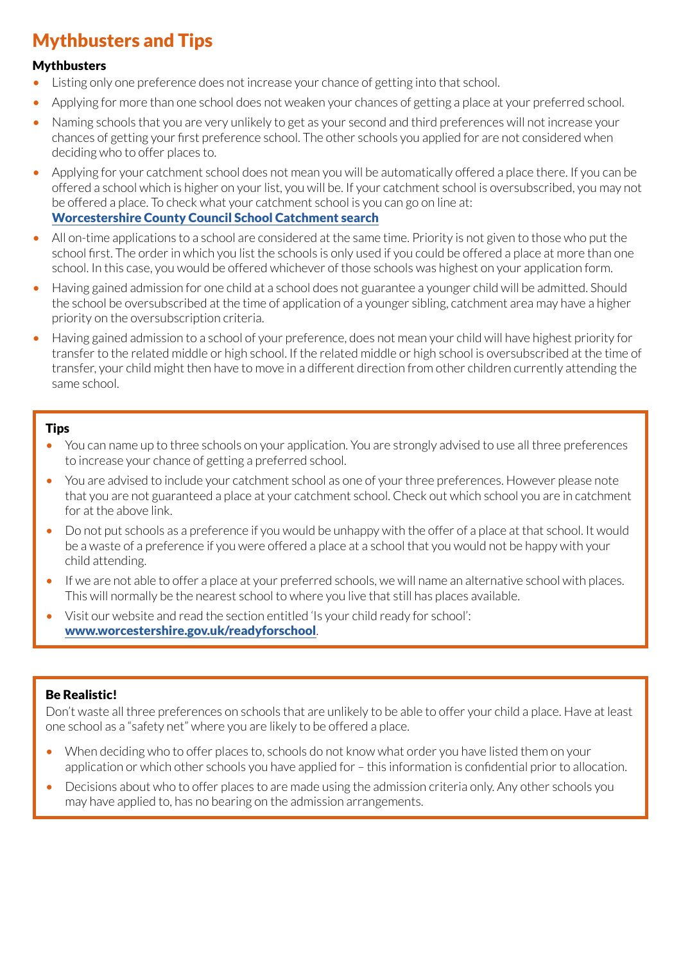## Mythbusters and Tips

#### **Mythbusters**

- Listing only one preference does not increase your chance of getting into that school.
- Applying for more than one school does not weaken your chances of getting a place at your preferred school.
- Naming schools that you are very unlikely to get as your second and third preferences will not increase your chances of getting your first preference school. The other schools you applied for are not considered when deciding who to offer places to.
- Applying for your catchment school does not mean you will be automatically offered a place there. If you can be offered a school which is higher on your list, you will be. If your catchment school is oversubscribed, you may not be offered a place. To check what your catchment school is you can go on line at: [Worcestershire County Council School Catchment search](https://www.worcestershire.gov.uk/info/20062/schools/2098/find_a_school)
- All on-time applications to a school are considered at the same time. Priority is not given to those who put the school first. The order in which you list the schools is only used if you could be offered a place at more than one school. In this case, you would be offered whichever of those schools was highest on your application form.
- Having gained admission for one child at a school does not guarantee a younger child will be admitted. Should the school be oversubscribed at the time of application of a younger sibling, catchment area may have a higher priority on the oversubscription criteria.
- Having gained admission to a school of your preference, does not mean your child will have highest priority for transfer to the related middle or high school. If the related middle or high school is oversubscribed at the time of transfer, your child might then have to move in a different direction from other children currently attending the same school.

#### **Tips**

- You can name up to three schools on your application. You are strongly advised to use all three preferences to increase your chance of getting a preferred school.
- You are advised to include your catchment school as one of your three preferences. However please note that you are not guaranteed a place at your catchment school. Check out which school you are in catchment for at the above link.
- Do not put schools as a preference if you would be unhappy with the offer of a place at that school. It would be a waste of a preference if you were offered a place at a school that you would not be happy with your child attending.
- If we are not able to offer a place at your preferred schools, we will name an alternative school with places. This will normally be the nearest school to where you live that still has places available.
- Visit our website and read the section entitled 'Is your child ready for school': [www.worcestershire.gov.uk/readyforschool](http://www.worcestershire.gov.uk/readyforschool).

#### Be Realistic!

Don't waste all three preferences on schools that are unlikely to be able to offer your child a place. Have at least one school as a "safety net" where you are likely to be offered a place.

- When deciding who to offer places to, schools do not know what order you have listed them on your application or which other schools you have applied for – this information is confidential prior to allocation.
- Decisions about who to offer places to are made using the admission criteria only. Any other schools you may have applied to, has no bearing on the admission arrangements.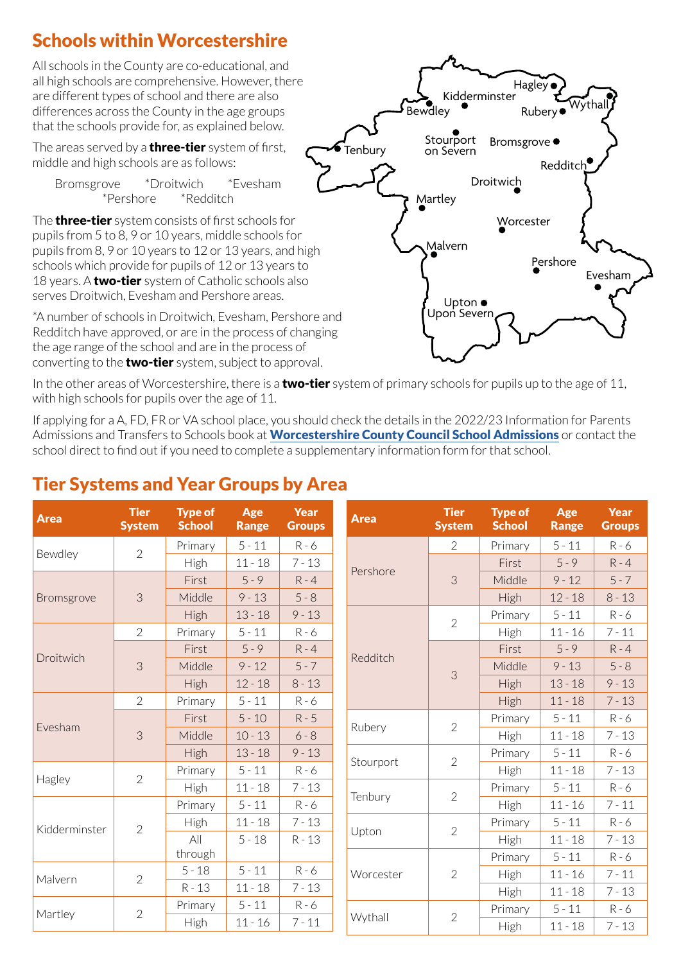## Schools within Worcestershire

All schools in the County are co-educational, and all high schools are comprehensive. However, there are different types of school and there are also differences across the County in the age groups that the schools provide for, as explained below.

The areas served by a **three-tier** system of first, middle and high schools are as follows:

Bromsgrove \*Droitwich \*Evesham \*Pershore \*Redditch

The **three-tier** system consists of first schools for pupils from 5 to 8, 9 or 10 years, middle schools for pupils from 8, 9 or 10 years to 12 or 13 years, and high schools which provide for pupils of 12 or 13 years to 18 years. A **two-tier** system of Catholic schools also serves Droitwich, Evesham and Pershore areas.

\*A number of schools in Droitwich, Evesham, Pershore and Redditch have approved, or are in the process of changing the age range of the school and are in the process of converting to the **two-tier** system, subject to approval.



In the other areas of Worcestershire, there is a **two-tier** system of primary schools for pupils up to the age of 11, with high schools for pupils over the age of 11.

If applying for a A, FD, FR or VA school place, you should check the details in the 2022/23 Information for Parents Admissions and Transfers to Schools book at **[Worcestershire County Council School Admissions](http://www.worcestershire.gov.uk/schooladmissions)** or contact the school direct to find out if you need to complete a supplementary information form for that school.

| <b>Area</b>   | <b>Tier</b><br><b>System</b> | <b>Type of</b><br><b>School</b> | Age<br><b>Range</b> | Year<br><b>Groups</b> | <b>Area</b> | <b>Tier</b><br><b>System</b>           | <b>Type of</b><br><b>School</b> | Age<br><b>Range</b> | <b>Year</b><br><b>Groups</b> |
|---------------|------------------------------|---------------------------------|---------------------|-----------------------|-------------|----------------------------------------|---------------------------------|---------------------|------------------------------|
|               | $\overline{2}$               | Primary                         | $5 - 11$            | $R - 6$               |             | $\overline{2}$                         | Primary                         | $5 - 11$            | $R - 6$                      |
| Bewdley       |                              | High                            | $11 - 18$           | $7 - 13$              | Pershore    | 3                                      | First                           | $5 - 9$             | $R - 4$                      |
| Bromsgrove    | 3                            | First                           | $5 - 9$             | $R - 4$               |             |                                        | Middle                          | $9 - 12$            | $5 - 7$                      |
|               |                              | Middle                          | $9 - 13$            | $5 - 8$               |             |                                        | <b>High</b>                     | $12 - 18$           | $8 - 13$                     |
|               |                              | High                            | $13 - 18$           | $9 - 13$              |             | $\overline{2}$                         | Primary                         | $5 - 11$            | $R - 6$                      |
| Droitwich     | $\overline{2}$               | Primary                         | $5 - 11$            | $R - 6$               |             |                                        | High                            | $11 - 16$           | $7 - 11$                     |
|               | 3                            | First                           | $5 - 9$             | $R - 4$               |             | 3                                      | First                           | $5 - 9$             | $R - 4$                      |
|               |                              | Middle                          | $9 - 12$            | $5 - 7$               | Redditch    |                                        | Middle                          | $9 - 13$            | $5 - 8$                      |
|               |                              | High                            | $12 - 18$           | $8 - 13$              |             |                                        | High                            | $13 - 18$           | $9 - 13$                     |
| Evesham       | $\overline{2}$               | Primary                         | $5 - 11$            | $R - 6$               |             |                                        | <b>High</b>                     | $11 - 18$           | $7 - 13$                     |
|               | 3                            | First                           | $5 - 10$            | $R - 5$               | Rubery      | $\overline{2}$                         | Primary                         | $5 - 11$            | $R - 6$                      |
|               |                              | Middle                          | $10 - 13$           | $6 - 8$               |             |                                        | High                            | $11 - 18$           | $7 - 13$                     |
|               |                              | High                            | $13 - 18$           | $9 - 13$              |             | $\overline{2}$                         | Primary                         | $5 - 11$            | $R - 6$                      |
|               | $\overline{2}$               | Primary                         | $5 - 11$            | $R - 6$               |             | Stourport<br>$\overline{2}$<br>Tenbury | High                            | $11 - 18$           | $7 - 13$                     |
| Hagley        |                              | High                            | $11 - 18$           | $7 - 13$              |             |                                        | Primary                         | $5 - 11$            | $R - 6$                      |
|               | $\overline{2}$               | Primary                         | $5 - 11$            | $R - 6$               |             |                                        | High                            | $11 - 16$           | $7 - 11$                     |
| Kidderminster |                              | High                            | $11 - 18$           | $7 - 13$              | Upton       | $\overline{2}$                         | Primary                         | $5 - 11$            | $R - 6$                      |
|               |                              | All                             | $5 - 18$            | $R - 13$              |             |                                        | <b>High</b>                     | $11 - 18$           | $7 - 13$                     |
|               |                              | through                         |                     |                       | Worcester   | $\overline{2}$                         | Primary                         | $5 - 11$            | $R - 6$                      |
| Malvern       | $\overline{2}$               | $5 - 18$                        | $5 - 11$            | $R - 6$               |             |                                        | <b>High</b>                     | $11 - 16$           | $7 - 11$                     |
|               |                              | $R - 13$                        | $11 - 18$           | $7 - 13$              |             |                                        | <b>High</b>                     | $11 - 18$           | $7 - 13$                     |
| Martley       | $\overline{2}$               | Primary                         | $5 - 11$            | $R - 6$               |             | $\overline{2}$                         | Primary                         | $5 - 11$            | $R - 6$                      |
|               |                              | High                            | $11 - 16$           | $7 - 11$              | Wythall     |                                        | High                            | $11 - 18$           | $7 - 13$                     |

## Tier Systems and Year Groups by Area